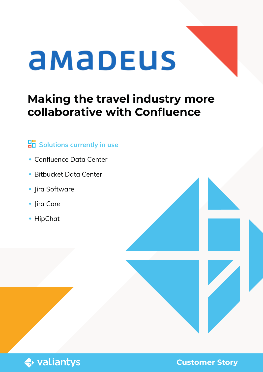# amapeus

# **Making the travel industry more collaborative with Confluence**

#### **Bolutions currently in use**

- Confluence Data Center
- Bitbucket Data Center
- Jira Software

**♦ valiantys** 

- ◆ Jira Core
- ◆ HipChat

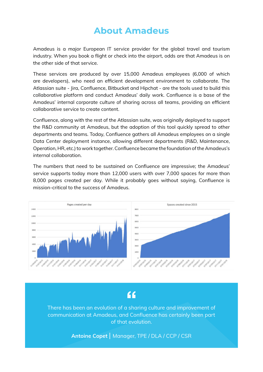#### **About Amadeus**

Amadeus is a major European IT service provider for the global travel and tourism industry. When you book a flight or check into the airport, odds are that Amadeus is on the other side of that service.

These services are produced by over 15,000 Amadeus employees (6,000 of which are developers), who need an efficient development environment to collaborate. The Atlassian suite - Jira, Confluence, Bitbucket and Hipchat - are the tools used to build this collaborative platform and conduct Amadeus' daily work. Confluence is a base of the Amadeus' internal corporate culture of sharing across all teams, providing an efficient collaborative service to create content.

Confluence, along with the rest of the Atlassian suite, was originally deployed to support the R&D community at Amadeus, but the adoption of this tool quickly spread to other departments and teams. Today, Confluence gathers all Amadeus employees on a single Data Center deployment instance, allowing different departments (R&D, Maintenance, Operation, HR, etc.) to work together. Confluence became the foundation of the Amadeus's internal collaboration.

The numbers that need to be sustained on Confluence are impressive; the Amadeus' service supports today more than 12,000 users with over 7,000 spaces for more than 8,000 pages created per day. While it probably goes without saying, Confluence is mission-critical to the success of Amadeus.



#### $66$

There has been an evolution of a sharing culture and improvement of communication at Amadeus, and Confluence has certainly been part of that evolution.

Antoine Copet | Manager, TPE / DLA / CCP / CSR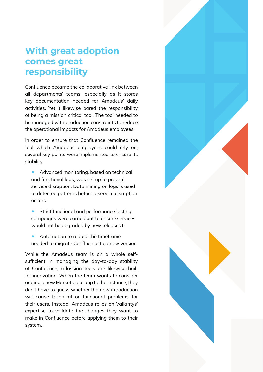#### **With great adoption comes great responsibility**

Confluence became the collaborative link between all departments' teams, especially as it stores key documentation needed for Amadeus' daily activities. Yet it likewise bared the responsibility of being a mission critical tool. The tool needed to be managed with production constraints to reduce the operational impacts for Amadeus employees.

In order to ensure that Confluence remained the tool which Amadeus employees could rely on, several key points were implemented to ensure its stability:

- Advanced monitoring, based on technical and functional logs, was set up to prevent service disruption. Data mining on logs is used to detected patterns before a service disruption occurs.
- Strict functional and performance testing campaigns were carried out to ensure services would not be degraded by new releases.t
- Automation to reduce the timeframe needed to migrate Confluence to a new version.

While the Amadeus team is on a whole selfsufficient in managing the day-to-day stability of Confluence, Atlassian tools are likewise built for innovation. When the team wants to consider adding a new Marketplace app to the instance, they don't have to guess whether the new introduction will cause technical or functional problems for their users. Instead, Amadeus relies on Valiantys' expertise to validate the changes they want to make in Confluence before applying them to their system.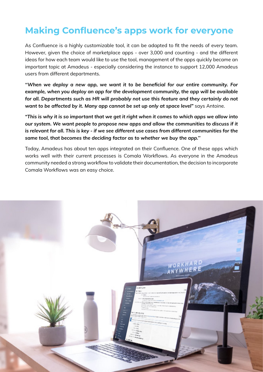#### **Making Confluence's apps work for everyone**

As Confluence is a highly customizable tool, it can be adapted to fit the needs of every team. However, given the choice of marketplace apps - over 3,000 and counting - and the different ideas for how each team would like to use the tool, management of the apps quickly became an important topic at Amadeus - especially considering the instance to support 12,000 Amadeus users from different departments.

*''When we deploy a new app, we want it to be beneficial for our entire community. For example, when you deploy an app for the development community, the app will be available for all. Departments such as HR will probably not use this feature and they certainly do not want to be affected by it. Many app cannot be set up only at space level"* says Antoine.

*"This is why it is so important that we get it right when it comes to which apps we allow into our system. We want people to propose new apps and allow the communities to discuss if it is relevant for all. This is key - if we see different use cases from different communities for the same tool, that becomes the deciding factor as to whether we buy the app.''*

Today, Amadeus has about ten apps integrated on their Confluence. One of these apps which works well with their current processes is Comala Workflows. As everyone in the Amadeus community needed a strong workflow to validate their documentation, the decision to incorporate Comala Workflows was an easy choice.

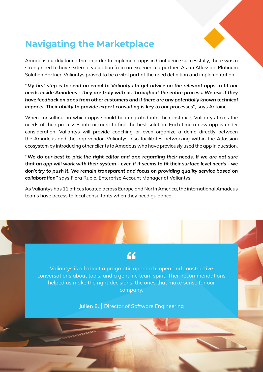

### **Navigating the Marketplace**

Amadeus quickly found that in order to implement apps in Confluence successfully, there was a strong need to have external validation from an experienced partner. As an Atlassian Platinum Solution Partner, Valiantys proved to be a vital part of the need definition and implementation.

*''My first step is to send an email to Valiantys to get advice on the relevant apps to fit our needs inside Amadeus - they are truly with us throughout the entire process. We ask if they have feedback on apps from other customers and if there are any potentially known technical*  impacts. Their ability to provide expert consulting is key to our processes", says Antoine.

When consulting on which apps should be integrated into their instance, Valiantys takes the needs of their processes into account to find the best solution. Each time a new app is under consideration, Valiantys will provide coaching or even organize a demo directly between the Amadeus and the app vendor. Valiantys also facilitates networking within the Atlassian ecosystem by introducing other clients to Amadeus who have previously used the app in question.

*''We do our best to pick the right editor and app regarding their needs. If we are not sure that an app will work with their system - even if it seems to fit their surface level needs - we don't try to push it. We remain transparent and focus on providing quality service based on collaboration''* says Flora Rubio, Enterprise Account Manager at Valiantys.

As Valiantys has 11 offices located across Europe and North America, the international Amadeus teams have access to local consultants when they need guidance.

## $\epsilon$

Valiantys is all about a pragmatic approach, open and constructive conversations about tools, and a genuine team spirit. Their recommendations helped us make the right decisions, the ones that make sense for our company.

Julien E. | Director of Software Engineering